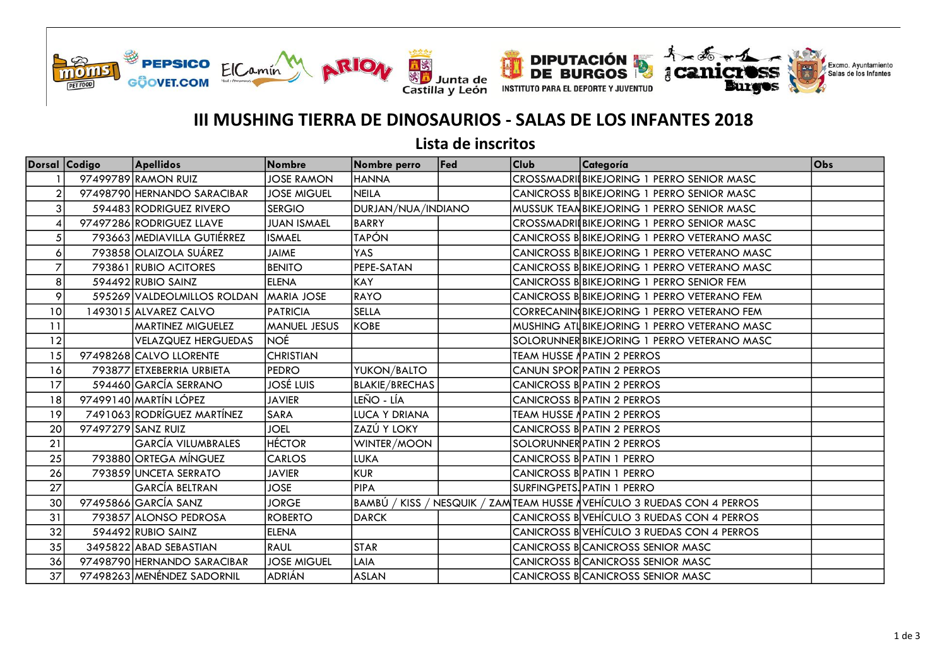





## III MUSHING TIERRA DE DINOSAURIOS - SALAS DE LOS INFANTES 2018

Lista de inscritos

|    | Dorsal Codigo | <b>Apellidos</b>            | <b>Nombre</b>       | Nombre perro          | Fed | <b>Club</b> | Categoría                                               | Obs |
|----|---------------|-----------------------------|---------------------|-----------------------|-----|-------------|---------------------------------------------------------|-----|
|    |               | 97499789 RAMON RUIZ         | <b>JOSE RAMON</b>   | <b>HANNA</b>          |     |             | CROSSMADRI BIKEJORING 1 PERRO SENIOR MASC               |     |
|    |               | 97498790 HERNANDO SARACIBAR | <b>JOSE MIGUEL</b>  | NEILA                 |     |             | CANICROSS B BIKEJORING 1 PERRO SENIOR MASC              |     |
| 3  |               | 594483 RODRIGUEZ RIVERO     | <b>SERGIO</b>       | DURJAN/NUA/INDIANO    |     |             | MUSSUK TEAN BIKEJORING 1 PERRO SENIOR MASC              |     |
|    |               | 97497286 RODRIGUEZ LLAVE    | <b>JUAN ISMAEL</b>  | <b>BARRY</b>          |     |             | CROSSMADRII BIKEJORING 1 PERRO SENIOR MASC              |     |
|    |               | 793663 MEDIAVILLA GUTIÉRREZ | <b>ISMAEL</b>       | <b>TAPÓN</b>          |     |             | CANICROSS B BIKEJORING 1 PERRO VETERANO MASC            |     |
| 6  |               | 793858 OLAIZOLA SUÁREZ      | <b>JAIME</b>        | YAS                   |     |             | CANICROSS B BIKEJORING 1 PERRO VETERANO MASC            |     |
|    |               | 793861 RUBIO ACITORES       | <b>BENITO</b>       | PEPE-SATAN            |     |             | CANICROSS B BIKEJORING 1 PERRO VETERANO MASC            |     |
| 8  |               | 594492 RUBIO SAINZ          | <b>ELENA</b>        | <b>KAY</b>            |     |             | CANICROSS B BIKEJORING 1 PERRO SENIOR FEM               |     |
| 9  |               | 595269 VALDEOLMILLOS ROLDAN | <b>MARIA JOSE</b>   | <b>RAYO</b>           |     |             | CANICROSS B BIKEJORING 1 PERRO VETERANO FEM             |     |
| 10 |               | 1493015 ALVAREZ CALVO       | <b>PATRICIA</b>     | <b>SELLA</b>          |     |             | CORRECANIN BIKEJORING 1 PERRO VETERANO FEM              |     |
| 11 |               | <b>MARTINEZ MIGUELEZ</b>    | <b>MANUEL JESUS</b> | <b>KOBE</b>           |     |             | MUSHING ATLBIKEJORING 1 PERRO VETERANO MASC             |     |
| 12 |               | <b>VELAZQUEZ HERGUEDAS</b>  | <b>NOÉ</b>          |                       |     |             | SOLORUNNER BIKEJORING 1 PERRO VETERANO MASC             |     |
| 15 |               | 97498268 CALVO LLORENTE     | <b>CHRISTIAN</b>    |                       |     |             | TEAM HUSSE ∤PATIN 2 PERROS                              |     |
| 16 |               | 793877 ETXEBERRIA URBIETA   | <b>PEDRO</b>        | YUKON/BALTO           |     |             | CANUN SPOR PATIN 2 PERROS                               |     |
| 17 |               | 594460 GARCÍA SERRANO       | <b>JOSÉ LUIS</b>    | <b>BLAKIE/BRECHAS</b> |     |             | CANICROSS B PATIN 2 PERROS                              |     |
| 18 |               | 97499140 MARTÍN LÓPEZ       | <b>JAVIER</b>       | LEÑO - LÍA            |     |             | CANICROSS B PATIN 2 PERROS                              |     |
| 19 |               | 7491063 RODRÍGUEZ MARTÍNEZ  | SARA                | <b>LUCA Y DRIANA</b>  |     |             | <b>TEAM HUSSE APATIN 2 PERROS</b>                       |     |
| 20 |               | 97497279 SANZ RUIZ          | <b>JOEL</b>         | ZAZÚ Y LOKY           |     |             | CANICROSS B PATIN 2 PERROS                              |     |
| 21 |               | <b>GARCÍA VILUMBRALES</b>   | <b>HÉCTOR</b>       | WINTER/MOON           |     |             | SOLORUNNER PATIN 2 PERROS                               |     |
| 25 |               | 793880 ORTEGA MÍNGUEZ       | <b>CARLOS</b>       | LUKA                  |     |             | CANICROSS B PATIN 1 PERRO                               |     |
| 26 |               | 793859 UNCETA SERRATO       | <b>JAVIER</b>       | <b>KUR</b>            |     |             | CANICROSS B PATIN 1 PERRO                               |     |
| 27 |               | GARCÍA BELTRAN              | <b>JOSE</b>         | PIPA                  |     |             | SURFINGPETS. PATIN 1 PERRO                              |     |
| 30 |               | 97495866 GARCÍA SANZ        | <b>JORGE</b>        | BAMBÚ<br>KISS/        |     |             | NESQUIK / ZAMTEAM HUSSE NVEHÍCULO 3 RUEDAS CON 4 PERROS |     |
| 31 |               | 793857 ALONSO PEDROSA       | <b>ROBERTO</b>      | <b>DARCK</b>          |     |             | CANICROSS BVEHÍCULO 3 RUEDAS CON 4 PERROS               |     |
| 32 |               | 594492 RUBIO SAINZ          | <b>ELENA</b>        |                       |     |             | CANICROSS BVEHÍCULO 3 RUEDAS CON 4 PERROS               |     |
| 35 |               | 3495822 ABAD SEBASTIAN      | <b>RAUL</b>         | <b>STAR</b>           |     |             | <b>CANICROSS BCANICROSS SENIOR MASC</b>                 |     |
| 36 |               | 97498790 HERNANDO SARACIBAR | <b>JOSE MIGUEL</b>  | LAIA                  |     |             | <b>CANICROSS BCANICROSS SENIOR MASC</b>                 |     |
| 37 |               | 97498263 MENÉNDEZ SADORNIL  | <b>ADRIÁN</b>       | <b>ASLAN</b>          |     |             | CANICROSS BCANICROSS SENIOR MASC                        |     |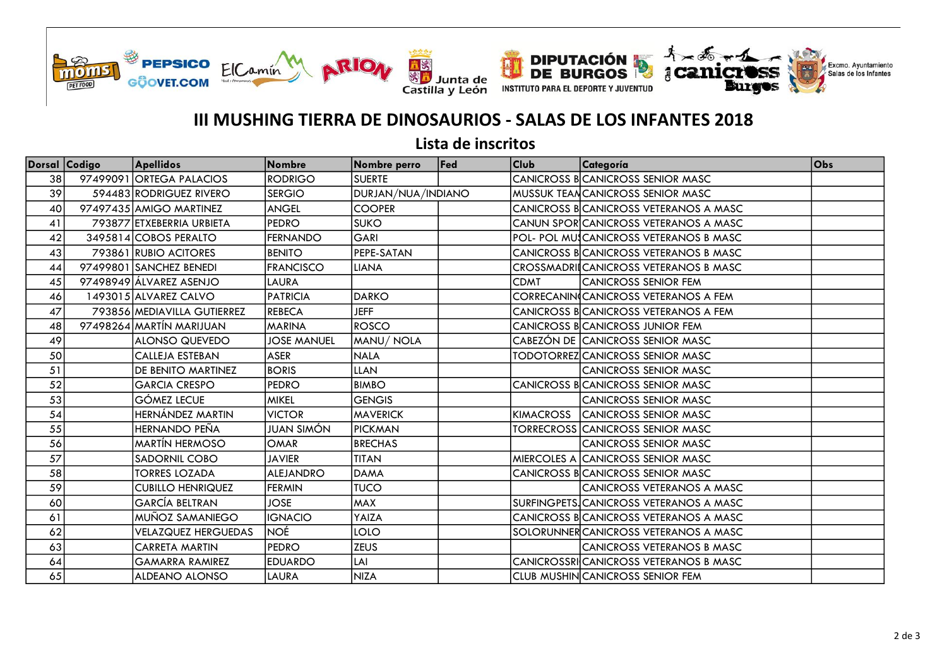





## III MUSHING TIERRA DE DINOSAURIOS - SALAS DE LOS INFANTES 2018

Lista de inscritos

| Dorsal Codigo | <b>Apellidos</b>            | Nombre             | Nombre perro       | Fed | <b>Club</b> | Categoría                                    | Obs |
|---------------|-----------------------------|--------------------|--------------------|-----|-------------|----------------------------------------------|-----|
| 38            | 97499091 ORTEGA PALACIOS    | <b>RODRIGO</b>     | <b>SUERTE</b>      |     |             | <b>CANICROSS BCANICROSS SENIOR MASC</b>      |     |
| 39            | 594483 RODRIGUEZ RIVERO     | <b>SERGIO</b>      | DURJAN/NUA/INDIANO |     |             | MUSSUK TEANCANICROSS SENIOR MASC             |     |
| 40            | 97497435 AMIGO MARTINEZ     | <b>ANGEL</b>       | <b>COOPER</b>      |     |             | <b>CANICROSS BCANICROSS VETERANOS A MASC</b> |     |
| 41            | 793877 ETXEBERRIA URBIETA   | <b>PEDRO</b>       | <b>SUKO</b>        |     |             | CANUN SPORCANICROSS VETERANOS A MASC         |     |
| 42            | 3495814 COBOS PERALTO       | <b>FERNANDO</b>    | GARI               |     |             | POL- POL MUSCANICROSS VETERANOS B MASC       |     |
| 43            | 793861 RUBIO ACITORES       | <b>BENITO</b>      | PEPE-SATAN         |     |             | CANICROSS B CANICROSS VETERANOS B MASC       |     |
| 44            | 97499801 SANCHEZ BENEDI     | <b>FRANCISCO</b>   | <b>LIANA</b>       |     |             | CROSSMADRIICANICROSS VETERANOS B MASC        |     |
| 45            | 97498949 ÁLVAREZ ASENJO     | LAURA              |                    |     | <b>CDMT</b> | Icanicross senior fem                        |     |
| 46            | 1493015 ALVAREZ CALVO       | <b>PATRICIA</b>    | <b>DARKO</b>       |     |             | <b>CORRECANIN(CANICROSS VETERANOS A FEM</b>  |     |
| 47            | 793856 MEDIAVILLA GUTIERREZ | <b>REBECA</b>      | <b>JEFF</b>        |     |             | CANICROSS BCANICROSS VETERANOS A FEM         |     |
| 48            | 97498264 MARTÍN MARIJUAN    | <b>MARINA</b>      | <b>ROSCO</b>       |     |             | CANICROSS BCANICROSS JUNIOR FEM              |     |
| 49            | <b>ALONSO QUEVEDO</b>       | <b>JOSE MANUEL</b> | MANU/NOLA          |     |             | CABEZÓN DE CANICROSS SENIOR MASC             |     |
| 50            | <b>CALLEJA ESTEBAN</b>      | <b>ASER</b>        | <b>NALA</b>        |     |             | TODOTORREZCCANICROSS SENIOR MASC             |     |
| 51            | DE BENITO MARTINEZ          | <b>BORIS</b>       | <b>LLAN</b>        |     |             | <b>CANICROSS SENIOR MASC</b>                 |     |
| 52            | <b>GARCIA CRESPO</b>        | PEDRO              | <b>BIMBO</b>       |     |             | <b>CANICROSS BCANICROSS SENIOR MASC</b>      |     |
| 53            | <b>GÓMEZ LECUE</b>          | <b>MIKEL</b>       | <b>GENGIS</b>      |     |             | <b>CANICROSS SENIOR MASC</b>                 |     |
| 54            | HERNÁNDEZ MARTIN            | <b>VICTOR</b>      | <b>MAVERICK</b>    |     |             | KIMACROSS CANICROSS SENIOR MASC              |     |
| 55            | <b>HERNANDO PEÑA</b>        | JUAN SIMÓN         | <b>PICKMAN</b>     |     |             | <b>TORRECROSS CANICROSS SENIOR MASC</b>      |     |
| 56            | <b>MARTIN HERMOSO</b>       | <b>OMAR</b>        | <b>BRECHAS</b>     |     |             | <b>CANICROSS SENIOR MASC</b>                 |     |
| 57            | <b>SADORNIL COBO</b>        | <b>JAVIER</b>      | <b>TITAN</b>       |     |             | MIERCOLES A CANICROSS SENIOR MASC            |     |
| 58            | <b>TORRES LOZADA</b>        | <b>ALEJANDRO</b>   | <b>DAMA</b>        |     |             | <b>CANICROSS BCANICROSS SENIOR MASC</b>      |     |
| 59            | <b>CUBILLO HENRIQUEZ</b>    | <b>FERMIN</b>      | <b>TUCO</b>        |     |             | ICANICROSS VETERANOS A MASC                  |     |
| 60            | <b>GARCÍA BELTRAN</b>       | <b>JOSE</b>        | <b>MAX</b>         |     |             | SURFINGPETS. CANICROSS VETERANOS A MASC      |     |
| 61            | MUÑOZ SAMANIEGO             | <b>IGNACIO</b>     | YAIZA              |     |             | <b>CANICROSS BCANICROSS VETERANOS A MASC</b> |     |
| 62            | <b>VELAZQUEZ HERGUEDAS</b>  | <b>NOÉ</b>         | LOLO               |     |             | SOLORUNNER CANICROSS VETERANOS A MASC        |     |
| 63            | <b>CARRETA MARTIN</b>       | PEDRO              | <b>ZEUS</b>        |     |             | <b>CANICROSS VETERANOS B MASC</b>            |     |
| 64            | <b>GAMARRA RAMIREZ</b>      | <b>EDUARDO</b>     | LAI                |     |             | CANICROSSRICANICROSS VETERANOS B MASC        |     |
| 65            | ALDEANO ALONSO              | <b>LAURA</b>       | <b>NIZA</b>        |     |             | <b>CLUB MUSHIN CANICROSS SENIOR FEM</b>      |     |